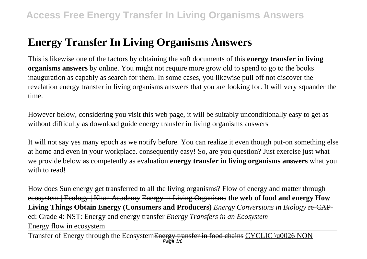# **Energy Transfer In Living Organisms Answers**

This is likewise one of the factors by obtaining the soft documents of this **energy transfer in living organisms answers** by online. You might not require more grow old to spend to go to the books inauguration as capably as search for them. In some cases, you likewise pull off not discover the revelation energy transfer in living organisms answers that you are looking for. It will very squander the time.

However below, considering you visit this web page, it will be suitably unconditionally easy to get as without difficulty as download guide energy transfer in living organisms answers

It will not say yes many epoch as we notify before. You can realize it even though put-on something else at home and even in your workplace. consequently easy! So, are you question? Just exercise just what we provide below as competently as evaluation **energy transfer in living organisms answers** what you with to read!

How does Sun energy get transferred to all the living organisms? Flow of energy and matter through ecosystem | Ecology | Khan Academy Energy in Living Organisms **the web of food and energy How Living Things Obtain Energy (Consumers and Producers)** *Energy Conversions in Biology* re-CAPed: Grade 4: NST: Energy and energy transfer *Energy Transfers in an Ecosystem*

Energy flow in ecosystem

Transfer of Energy through the Ecosystem<del>Energy transfer in food chains CYCLIC</del> \u0026 NON Page  $1/6$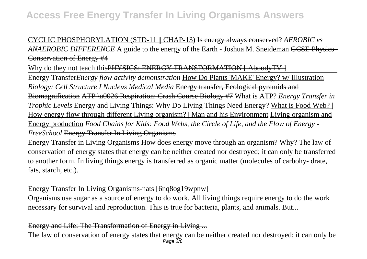## CYCLIC PHOSPHORYLATION (STD-11 || CHAP-13) Is energy always conserved? *AEROBIC vs ANAEROBIC DIFFERENCE* A guide to the energy of the Earth - Joshua M. Sneideman GCSE Physics -Conservation of Energy #4

Why do they not teach this PHYSICS: ENERGY TRANSFORMATION [ AboodyTV ]

Energy Transfer*Energy flow activity demonstration* How Do Plants 'MAKE' Energy? w/ Illustration *Biology: Cell Structure I Nucleus Medical Media* Energy transfer, Ecological pyramids and Biomagnification ATP \u0026 Respiration: Crash Course Biology #7 What is ATP? *Energy Transfer in Trophic Levels* Energy and Living Things: Why Do Living Things Need Energy? What is Food Web? | How energy flow through different Living organism? | Man and his Environment Living organism and Energy production *Food Chains for Kids: Food Webs, the Circle of Life, and the Flow of Energy - FreeSchool* Energy Transfer In Living Organisms

Energy Transfer in Living Organisms How does energy move through an organism? Why? The law of conservation of energy states that energy can be neither created nor destroyed; it can only be transferred to another form. In living things energy is transferred as organic matter (molecules of carbohy- drate, fats, starch, etc.).

## Energy Transfer In Living Organisms-nats [6nq8og19wpnw]

Organisms use sugar as a source of energy to do work. All living things require energy to do the work necessary for survival and reproduction. This is true for bacteria, plants, and animals. But...

## Energy and Life: The Transformation of Energy in Living ...

The law of conservation of energy states that energy can be neither created nor destroyed; it can only be Page 2/6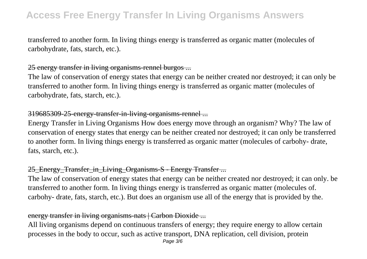transferred to another form. In living things energy is transferred as organic matter (molecules of carbohydrate, fats, starch, etc.).

## 25 energy transfer in living organisms-rennel burgos ...

The law of conservation of energy states that energy can be neither created nor destroyed; it can only be transferred to another form. In living things energy is transferred as organic matter (molecules of carbohydrate, fats, starch, etc.).

## 319685309-25-energy-transfer-in-living-organisms-rennel ...

Energy Transfer in Living Organisms How does energy move through an organism? Why? The law of conservation of energy states that energy can be neither created nor destroyed; it can only be transferred to another form. In living things energy is transferred as organic matter (molecules of carbohy- drate, fats, starch, etc.).

## 25\_Energy\_Transfer\_in\_Living\_Organisms-S - Energy Transfer ...

The law of conservation of energy states that energy can be neither created nor destroyed; it can only. be transferred to another form. In living things energy is transferred as organic matter (molecules of. carbohy- drate, fats, starch, etc.). But does an organism use all of the energy that is provided by the.

## energy transfer in living organisms-nats | Carbon Dioxide ...

All living organisms depend on continuous transfers of energy; they require energy to allow certain processes in the body to occur, such as active transport, DNA replication, cell division, protein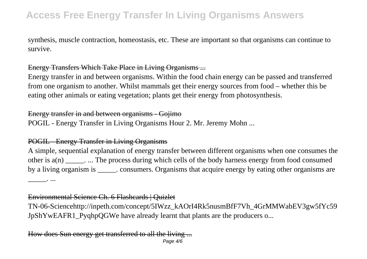synthesis, muscle contraction, homeostasis, etc. These are important so that organisms can continue to survive.

### Energy Transfers Which Take Place in Living Organisms ...

Energy transfer in and between organisms. Within the food chain energy can be passed and transferred from one organism to another. Whilst mammals get their energy sources from food – whether this be eating other animals or eating vegetation; plants get their energy from photosynthesis.

### Energy transfer in and between organisms - Gojimo

POGIL - Energy Transfer in Living Organisms Hour 2. Mr. Jeremy Mohn ...

#### POGIL - Energy Transfer in Living Organisms

A simple, sequential explanation of energy transfer between different organisms when one consumes the other is a(n) \_\_\_\_\_. ... The process during which cells of the body harness energy from food consumed by a living organism is \_\_\_\_\_. consumers. Organisms that acquire energy by eating other organisms are  $\cdots$  ...

#### Environmental Science Ch. 6 Flashcards | Quizlet

TN-06-Sciencehttp://inpeth.com/concept/5IWzz\_kAOrI4Rk5nusmBfF7Vh\_4GrMMWabEV3gw5fYc59 JpShYwEAFR1\_PyqhpQGWe have already learnt that plants are the producers o...

How does Sun energy get transferred to all the living ... Page 4/6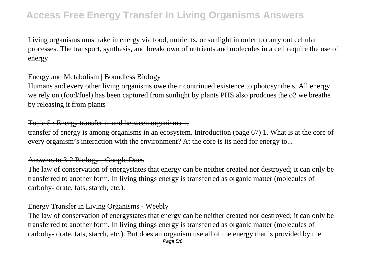Living organisms must take in energy via food, nutrients, or sunlight in order to carry out cellular processes. The transport, synthesis, and breakdown of nutrients and molecules in a cell require the use of energy.

### Energy and Metabolism | Boundless Biology

Humans and every other living organisms owe their contrinued existence to photosyntheis. All energy we rely on (food/fuel) has been captured from sunlight by plants PHS also prodcues the o2 we breathe by releasing it from plants

## Topic 5 : Energy transfer in and between organisms ...

transfer of energy is among organisms in an ecosystem. Introduction (page 67) 1. What is at the core of every organism's interaction with the environment? At the core is its need for energy to...

## Answers to 3-2 Biology - Google Docs

The law of conservation of energystates that energy can be neither created nor destroyed; it can only be transferred to another form. In living things energy is transferred as organic matter (molecules of carbohy- drate, fats, starch, etc.).

## Energy Transfer in Living Organisms - Weebly

The law of conservation of energystates that energy can be neither created nor destroyed; it can only be transferred to another form. In living things energy is transferred as organic matter (molecules of carbohy- drate, fats, starch, etc.). But does an organism use all of the energy that is provided by the